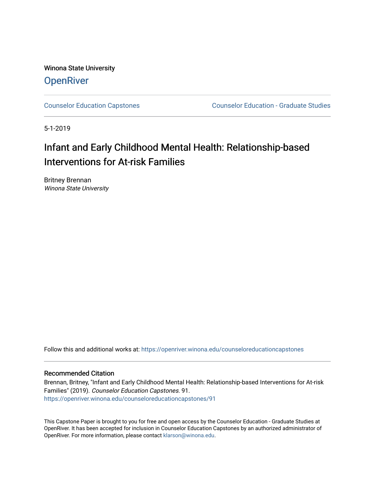Winona State University **OpenRiver** 

[Counselor Education Capstones](https://openriver.winona.edu/counseloreducationcapstones) [Counselor Education - Graduate Studies](https://openriver.winona.edu/counseloreducation) 

5-1-2019

# Infant and Early Childhood Mental Health: Relationship-based Interventions for At-risk Families

Britney Brennan Winona State University

Follow this and additional works at: [https://openriver.winona.edu/counseloreducationcapstones](https://openriver.winona.edu/counseloreducationcapstones?utm_source=openriver.winona.edu%2Fcounseloreducationcapstones%2F91&utm_medium=PDF&utm_campaign=PDFCoverPages)

#### Recommended Citation

Brennan, Britney, "Infant and Early Childhood Mental Health: Relationship-based Interventions for At-risk Families" (2019). Counselor Education Capstones. 91. [https://openriver.winona.edu/counseloreducationcapstones/91](https://openriver.winona.edu/counseloreducationcapstones/91?utm_source=openriver.winona.edu%2Fcounseloreducationcapstones%2F91&utm_medium=PDF&utm_campaign=PDFCoverPages) 

This Capstone Paper is brought to you for free and open access by the Counselor Education - Graduate Studies at OpenRiver. It has been accepted for inclusion in Counselor Education Capstones by an authorized administrator of OpenRiver. For more information, please contact [klarson@winona.edu](mailto:klarson@winona.edu).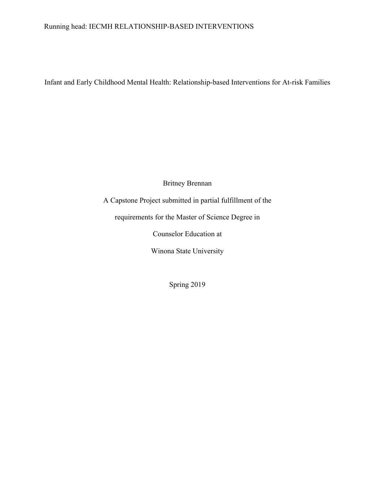## Running head: IECMH RELATIONSHIP-BASED INTERVENTIONS

Infant and Early Childhood Mental Health: Relationship-based Interventions for At-risk Families

Britney Brennan

A Capstone Project submitted in partial fulfillment of the

requirements for the Master of Science Degree in

Counselor Education at

Winona State University

Spring 2019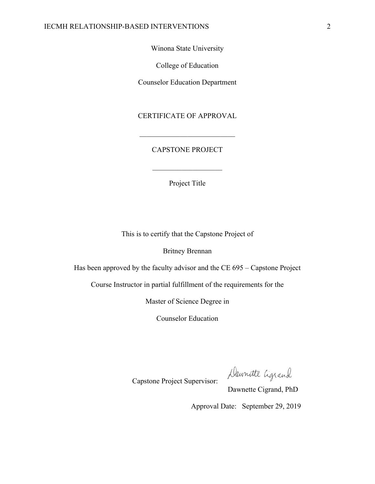Winona State University

College of Education

Counselor Education Department

## CERTIFICATE OF APPROVAL

## CAPSTONE PROJECT

Project Title

This is to certify that the Capstone Project of

Britney Brennan

Has been approved by the faculty advisor and the CE 695 – Capstone Project

Course Instructor in partial fulfillment of the requirements for the

Master of Science Degree in

Counselor Education

Capstone Project Supervisor:

Daunatte Cigrand

Dawnette Cigrand, PhD

Approval Date: September 29, 2019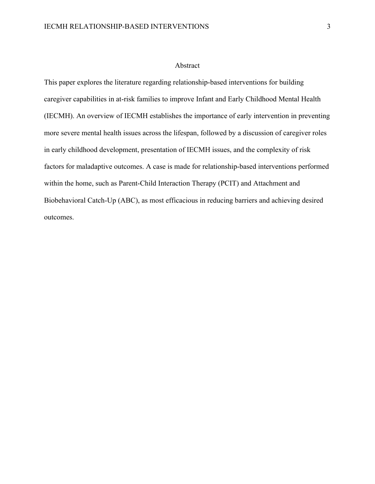#### Abstract

This paper explores the literature regarding relationship-based interventions for building caregiver capabilities in at-risk families to improve Infant and Early Childhood Mental Health (IECMH). An overview of IECMH establishes the importance of early intervention in preventing more severe mental health issues across the lifespan, followed by a discussion of caregiver roles in early childhood development, presentation of IECMH issues, and the complexity of risk factors for maladaptive outcomes. A case is made for relationship-based interventions performed within the home, such as Parent-Child Interaction Therapy (PCIT) and Attachment and Biobehavioral Catch-Up (ABC), as most efficacious in reducing barriers and achieving desired outcomes.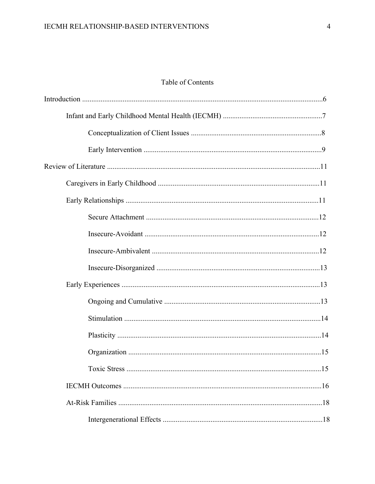# Table of Contents

| .15 |
|-----|
|     |
|     |
|     |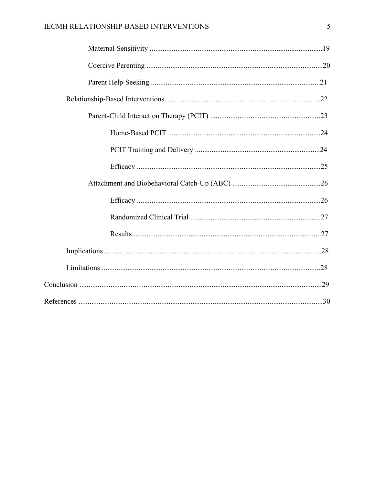# IECMH RELATIONSHIP-BASED INTERVENTIONS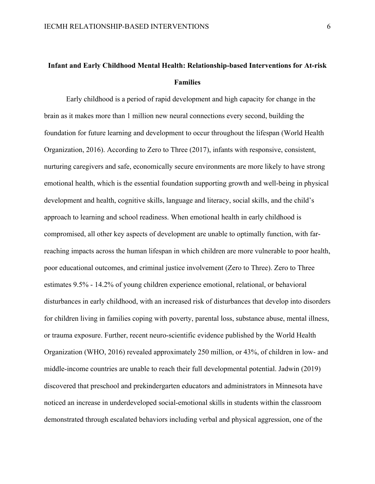# **Infant and Early Childhood Mental Health: Relationship-based Interventions for At-risk Families**

Early childhood is a period of rapid development and high capacity for change in the brain as it makes more than 1 million new neural connections every second, building the foundation for future learning and development to occur throughout the lifespan (World Health Organization, 2016). According to Zero to Three (2017), infants with responsive, consistent, nurturing caregivers and safe, economically secure environments are more likely to have strong emotional health, which is the essential foundation supporting growth and well-being in physical development and health, cognitive skills, language and literacy, social skills, and the child's approach to learning and school readiness. When emotional health in early childhood is compromised, all other key aspects of development are unable to optimally function, with farreaching impacts across the human lifespan in which children are more vulnerable to poor health, poor educational outcomes, and criminal justice involvement (Zero to Three). Zero to Three estimates 9.5% - 14.2% of young children experience emotional, relational, or behavioral disturbances in early childhood, with an increased risk of disturbances that develop into disorders for children living in families coping with poverty, parental loss, substance abuse, mental illness, or trauma exposure. Further, recent neuro-scientific evidence published by the World Health Organization (WHO, 2016) revealed approximately 250 million, or 43%, of children in low- and middle-income countries are unable to reach their full developmental potential. Jadwin (2019) discovered that preschool and prekindergarten educators and administrators in Minnesota have noticed an increase in underdeveloped social-emotional skills in students within the classroom demonstrated through escalated behaviors including verbal and physical aggression, one of the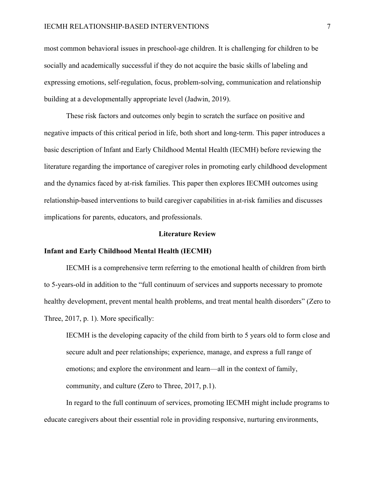most common behavioral issues in preschool-age children. It is challenging for children to be socially and academically successful if they do not acquire the basic skills of labeling and expressing emotions, self-regulation, focus, problem-solving, communication and relationship building at a developmentally appropriate level (Jadwin, 2019).

These risk factors and outcomes only begin to scratch the surface on positive and negative impacts of this critical period in life, both short and long-term. This paper introduces a basic description of Infant and Early Childhood Mental Health (IECMH) before reviewing the literature regarding the importance of caregiver roles in promoting early childhood development and the dynamics faced by at-risk families. This paper then explores IECMH outcomes using relationship-based interventions to build caregiver capabilities in at-risk families and discusses implications for parents, educators, and professionals.

#### **Literature Review**

#### **Infant and Early Childhood Mental Health (IECMH)**

IECMH is a comprehensive term referring to the emotional health of children from birth to 5-years-old in addition to the "full continuum of services and supports necessary to promote healthy development, prevent mental health problems, and treat mental health disorders" (Zero to Three, 2017, p. 1). More specifically:

IECMH is the developing capacity of the child from birth to 5 years old to form close and secure adult and peer relationships; experience, manage, and express a full range of emotions; and explore the environment and learn—all in the context of family, community, and culture (Zero to Three, 2017, p.1).

In regard to the full continuum of services, promoting IECMH might include programs to educate caregivers about their essential role in providing responsive, nurturing environments,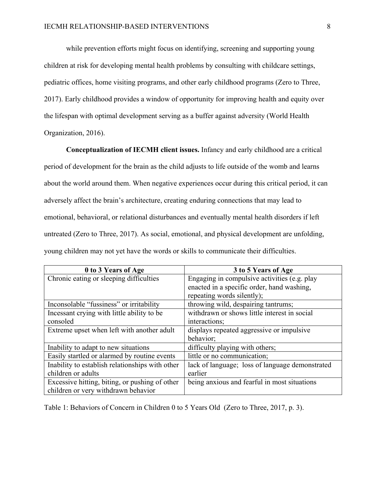while prevention efforts might focus on identifying, screening and supporting young children at risk for developing mental health problems by consulting with childcare settings, pediatric offices, home visiting programs, and other early childhood programs (Zero to Three, 2017). Early childhood provides a window of opportunity for improving health and equity over the lifespan with optimal development serving as a buffer against adversity (World Health Organization, 2016).

**Conceptualization of IECMH client issues.** Infancy and early childhood are a critical period of development for the brain as the child adjusts to life outside of the womb and learns about the world around them. When negative experiences occur during this critical period, it can adversely affect the brain's architecture, creating enduring connections that may lead to emotional, behavioral, or relational disturbances and eventually mental health disorders if left untreated (Zero to Three, 2017). As social, emotional, and physical development are unfolding, young children may not yet have the words or skills to communicate their difficulties.

| 0 to 3 Years of Age                             | 3 to 5 Years of Age                             |
|-------------------------------------------------|-------------------------------------------------|
| Chronic eating or sleeping difficulties         | Engaging in compulsive activities (e.g. play    |
|                                                 | enacted in a specific order, hand washing,      |
|                                                 | repeating words silently);                      |
| Inconsolable "fussiness" or irritability        | throwing wild, despairing tantrums;             |
| Incessant crying with little ability to be      | withdrawn or shows little interest in social    |
| consoled                                        | interactions;                                   |
| Extreme upset when left with another adult      | displays repeated aggressive or impulsive       |
|                                                 | behavior;                                       |
| Inability to adapt to new situations            | difficulty playing with others;                 |
| Easily startled or alarmed by routine events    | little or no communication;                     |
| Inability to establish relationships with other | lack of language; loss of language demonstrated |
| children or adults                              | earlier                                         |
| Excessive hitting, biting, or pushing of other  | being anxious and fearful in most situations    |
| children or very withdrawn behavior             |                                                 |

Table 1: Behaviors of Concern in Children 0 to 5 Years Old (Zero to Three, 2017, p. 3).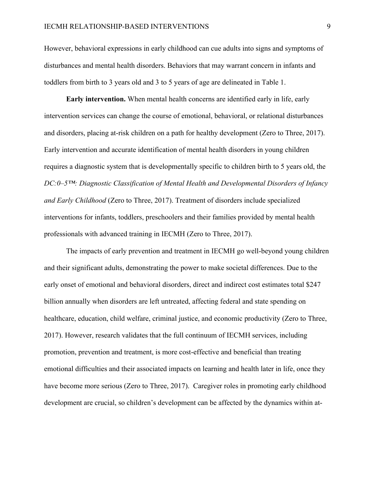However, behavioral expressions in early childhood can cue adults into signs and symptoms of disturbances and mental health disorders. Behaviors that may warrant concern in infants and toddlers from birth to 3 years old and 3 to 5 years of age are delineated in Table 1.

**Early intervention.** When mental health concerns are identified early in life, early intervention services can change the course of emotional, behavioral, or relational disturbances and disorders, placing at-risk children on a path for healthy development (Zero to Three, 2017). Early intervention and accurate identification of mental health disorders in young children requires a diagnostic system that is developmentally specific to children birth to 5 years old, the *DC:0–5™: Diagnostic Classification of Mental Health and Developmental Disorders of Infancy and Early Childhood* (Zero to Three, 2017). Treatment of disorders include specialized interventions for infants, toddlers, preschoolers and their families provided by mental health professionals with advanced training in IECMH (Zero to Three, 2017).

The impacts of early prevention and treatment in IECMH go well-beyond young children and their significant adults, demonstrating the power to make societal differences. Due to the early onset of emotional and behavioral disorders, direct and indirect cost estimates total \$247 billion annually when disorders are left untreated, affecting federal and state spending on healthcare, education, child welfare, criminal justice, and economic productivity (Zero to Three, 2017). However, research validates that the full continuum of IECMH services, including promotion, prevention and treatment, is more cost-effective and beneficial than treating emotional difficulties and their associated impacts on learning and health later in life, once they have become more serious (Zero to Three, 2017). Caregiver roles in promoting early childhood development are crucial, so children's development can be affected by the dynamics within at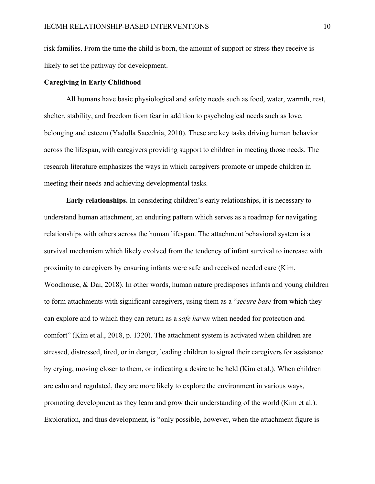risk families. From the time the child is born, the amount of support or stress they receive is likely to set the pathway for development.

### **Caregiving in Early Childhood**

All humans have basic physiological and safety needs such as food, water, warmth, rest, shelter, stability, and freedom from fear in addition to psychological needs such as love, belonging and esteem (Yadolla Saeednia, 2010). These are key tasks driving human behavior across the lifespan, with caregivers providing support to children in meeting those needs. The research literature emphasizes the ways in which caregivers promote or impede children in meeting their needs and achieving developmental tasks.

**Early relationships.** In considering children's early relationships, it is necessary to understand human attachment, an enduring pattern which serves as a roadmap for navigating relationships with others across the human lifespan. The attachment behavioral system is a survival mechanism which likely evolved from the tendency of infant survival to increase with proximity to caregivers by ensuring infants were safe and received needed care (Kim, Woodhouse, & Dai, 2018). In other words, human nature predisposes infants and young children to form attachments with significant caregivers, using them as a "*secure base* from which they can explore and to which they can return as a *safe haven* when needed for protection and comfort" (Kim et al., 2018, p. 1320). The attachment system is activated when children are stressed, distressed, tired, or in danger, leading children to signal their caregivers for assistance by crying, moving closer to them, or indicating a desire to be held (Kim et al.). When children are calm and regulated, they are more likely to explore the environment in various ways, promoting development as they learn and grow their understanding of the world (Kim et al.). Exploration, and thus development, is "only possible, however, when the attachment figure is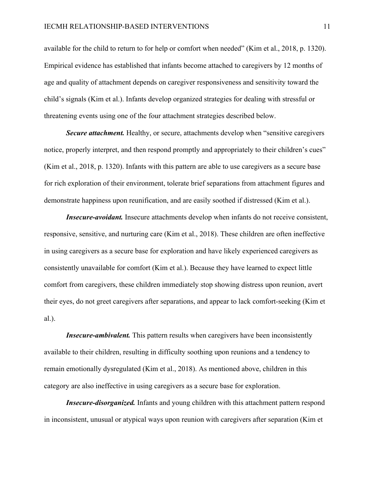available for the child to return to for help or comfort when needed" (Kim et al., 2018, p. 1320). Empirical evidence has established that infants become attached to caregivers by 12 months of age and quality of attachment depends on caregiver responsiveness and sensitivity toward the child's signals (Kim et al.). Infants develop organized strategies for dealing with stressful or threatening events using one of the four attachment strategies described below.

*Secure attachment.* Healthy, or secure, attachments develop when "sensitive caregivers" notice, properly interpret, and then respond promptly and appropriately to their children's cues" (Kim et al., 2018, p. 1320). Infants with this pattern are able to use caregivers as a secure base for rich exploration of their environment, tolerate brief separations from attachment figures and demonstrate happiness upon reunification, and are easily soothed if distressed (Kim et al.).

*Insecure-avoidant.* Insecure attachments develop when infants do not receive consistent, responsive, sensitive, and nurturing care (Kim et al., 2018). These children are often ineffective in using caregivers as a secure base for exploration and have likely experienced caregivers as consistently unavailable for comfort (Kim et al.). Because they have learned to expect little comfort from caregivers, these children immediately stop showing distress upon reunion, avert their eyes, do not greet caregivers after separations, and appear to lack comfort-seeking (Kim et al.).

*Insecure-ambivalent.* This pattern results when caregivers have been inconsistently available to their children, resulting in difficulty soothing upon reunions and a tendency to remain emotionally dysregulated (Kim et al., 2018). As mentioned above, children in this category are also ineffective in using caregivers as a secure base for exploration.

*Insecure-disorganized.* Infants and young children with this attachment pattern respond in inconsistent, unusual or atypical ways upon reunion with caregivers after separation (Kim et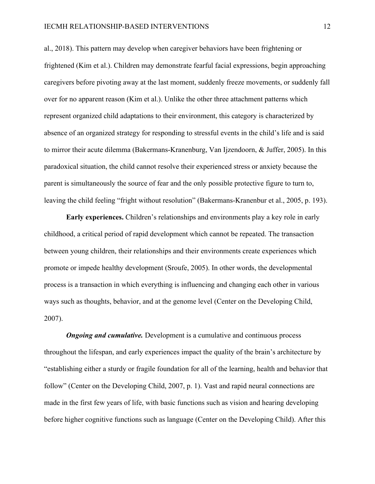al., 2018). This pattern may develop when caregiver behaviors have been frightening or frightened (Kim et al.). Children may demonstrate fearful facial expressions, begin approaching caregivers before pivoting away at the last moment, suddenly freeze movements, or suddenly fall over for no apparent reason (Kim et al.). Unlike the other three attachment patterns which represent organized child adaptations to their environment, this category is characterized by absence of an organized strategy for responding to stressful events in the child's life and is said to mirror their acute dilemma (Bakermans-Kranenburg, Van Ijzendoorn, & Juffer, 2005). In this paradoxical situation, the child cannot resolve their experienced stress or anxiety because the parent is simultaneously the source of fear and the only possible protective figure to turn to, leaving the child feeling "fright without resolution" (Bakermans-Kranenbur et al., 2005, p. 193).

**Early experiences.** Children's relationships and environments play a key role in early childhood, a critical period of rapid development which cannot be repeated. The transaction between young children, their relationships and their environments create experiences which promote or impede healthy development (Sroufe, 2005). In other words, the developmental process is a transaction in which everything is influencing and changing each other in various ways such as thoughts, behavior, and at the genome level (Center on the Developing Child, 2007).

*Ongoing and cumulative.* Development is a cumulative and continuous process throughout the lifespan, and early experiences impact the quality of the brain's architecture by "establishing either a sturdy or fragile foundation for all of the learning, health and behavior that follow" (Center on the Developing Child, 2007, p. 1). Vast and rapid neural connections are made in the first few years of life, with basic functions such as vision and hearing developing before higher cognitive functions such as language (Center on the Developing Child). After this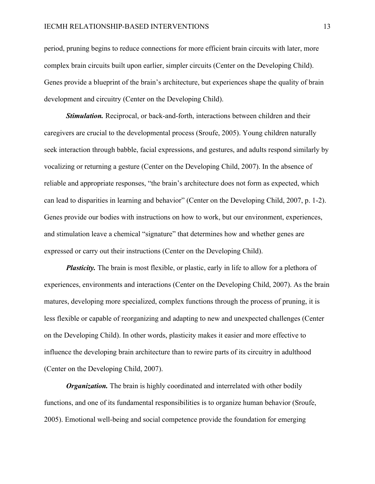period, pruning begins to reduce connections for more efficient brain circuits with later, more complex brain circuits built upon earlier, simpler circuits (Center on the Developing Child). Genes provide a blueprint of the brain's architecture, but experiences shape the quality of brain development and circuitry (Center on the Developing Child).

*Stimulation.* Reciprocal, or back-and-forth, interactions between children and their caregivers are crucial to the developmental process (Sroufe, 2005). Young children naturally seek interaction through babble, facial expressions, and gestures, and adults respond similarly by vocalizing or returning a gesture (Center on the Developing Child, 2007). In the absence of reliable and appropriate responses, "the brain's architecture does not form as expected, which can lead to disparities in learning and behavior" (Center on the Developing Child, 2007, p. 1-2). Genes provide our bodies with instructions on how to work, but our environment, experiences, and stimulation leave a chemical "signature" that determines how and whether genes are expressed or carry out their instructions (Center on the Developing Child).

*Plasticity*. The brain is most flexible, or plastic, early in life to allow for a plethora of experiences, environments and interactions (Center on the Developing Child, 2007). As the brain matures, developing more specialized, complex functions through the process of pruning, it is less flexible or capable of reorganizing and adapting to new and unexpected challenges (Center on the Developing Child). In other words, plasticity makes it easier and more effective to influence the developing brain architecture than to rewire parts of its circuitry in adulthood (Center on the Developing Child, 2007).

*Organization.* The brain is highly coordinated and interrelated with other bodily functions, and one of its fundamental responsibilities is to organize human behavior (Sroufe, 2005). Emotional well-being and social competence provide the foundation for emerging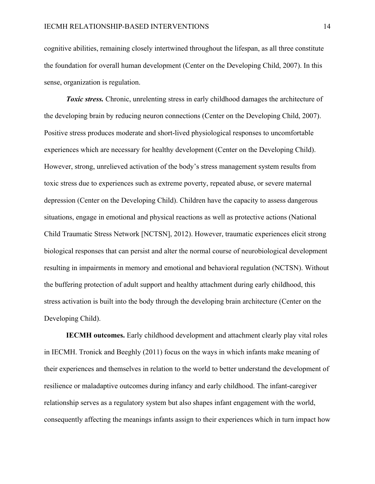cognitive abilities, remaining closely intertwined throughout the lifespan, as all three constitute the foundation for overall human development (Center on the Developing Child, 2007). In this sense, organization is regulation.

**Toxic stress.** Chronic, unrelenting stress in early childhood damages the architecture of the developing brain by reducing neuron connections (Center on the Developing Child, 2007). Positive stress produces moderate and short-lived physiological responses to uncomfortable experiences which are necessary for healthy development (Center on the Developing Child). However, strong, unrelieved activation of the body's stress management system results from toxic stress due to experiences such as extreme poverty, repeated abuse, or severe maternal depression (Center on the Developing Child). Children have the capacity to assess dangerous situations, engage in emotional and physical reactions as well as protective actions (National Child Traumatic Stress Network [NCTSN], 2012). However, traumatic experiences elicit strong biological responses that can persist and alter the normal course of neurobiological development resulting in impairments in memory and emotional and behavioral regulation (NCTSN). Without the buffering protection of adult support and healthy attachment during early childhood, this stress activation is built into the body through the developing brain architecture (Center on the Developing Child).

**IECMH outcomes.** Early childhood development and attachment clearly play vital roles in IECMH. Tronick and Beeghly (2011) focus on the ways in which infants make meaning of their experiences and themselves in relation to the world to better understand the development of resilience or maladaptive outcomes during infancy and early childhood. The infant-caregiver relationship serves as a regulatory system but also shapes infant engagement with the world, consequently affecting the meanings infants assign to their experiences which in turn impact how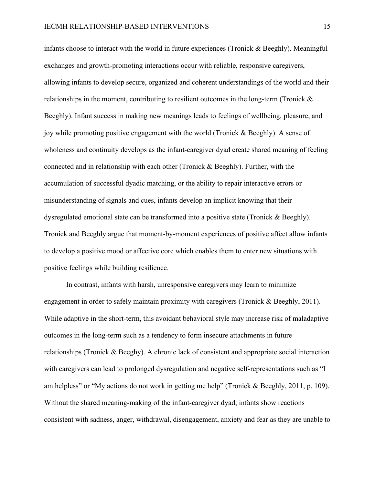infants choose to interact with the world in future experiences (Tronick  $\&$  Beeghly). Meaningful exchanges and growth-promoting interactions occur with reliable, responsive caregivers, allowing infants to develop secure, organized and coherent understandings of the world and their relationships in the moment, contributing to resilient outcomes in the long-term (Tronick & Beeghly). Infant success in making new meanings leads to feelings of wellbeing, pleasure, and joy while promoting positive engagement with the world (Tronick & Beeghly). A sense of wholeness and continuity develops as the infant-caregiver dyad create shared meaning of feeling connected and in relationship with each other (Tronick & Beeghly). Further, with the accumulation of successful dyadic matching, or the ability to repair interactive errors or misunderstanding of signals and cues, infants develop an implicit knowing that their dysregulated emotional state can be transformed into a positive state (Tronick & Beeghly). Tronick and Beeghly argue that moment-by-moment experiences of positive affect allow infants to develop a positive mood or affective core which enables them to enter new situations with positive feelings while building resilience.

In contrast, infants with harsh, unresponsive caregivers may learn to minimize engagement in order to safely maintain proximity with caregivers (Tronick & Beeghly, 2011). While adaptive in the short-term, this avoidant behavioral style may increase risk of maladaptive outcomes in the long-term such as a tendency to form insecure attachments in future relationships (Tronick & Beeghy). A chronic lack of consistent and appropriate social interaction with caregivers can lead to prolonged dysregulation and negative self-representations such as "I am helpless" or "My actions do not work in getting me help" (Tronick & Beeghly, 2011, p. 109). Without the shared meaning-making of the infant-caregiver dyad, infants show reactions consistent with sadness, anger, withdrawal, disengagement, anxiety and fear as they are unable to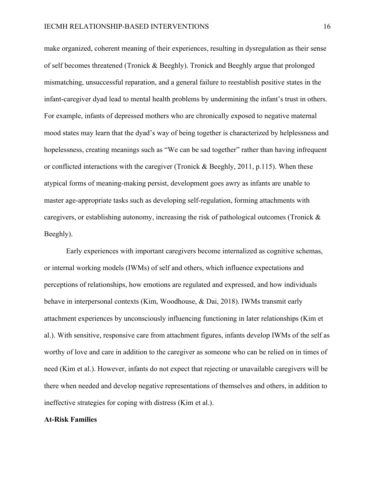make organized, coherent meaning of their experiences, resulting in dysregulation as their sense of self becomes threatened (Tronick & Beeghly). Tronick and Beeghly argue that prolonged mismatching, unsuccessful reparation, and a general failure to reestablish positive states in the infant-caregiver dyad lead to mental health problems by undermining the infant's trust in others. For example, infants of depressed mothers who are chronically exposed to negative maternal mood states may learn that the dyad's way of being together is characterized by helplessness and hopelessness, creating meanings such as "We can be sad together" rather than having infrequent or conflicted interactions with the caregiver (Tronick & Beeghly, 2011, p.115). When these atypical forms of meaning-making persist, development goes awry as infants are unable to master age-appropriate tasks such as developing self-regulation, forming attachments with caregivers, or establishing autonomy, increasing the risk of pathological outcomes (Tronick  $\&$ Beeghly).

Early experiences with important caregivers become internalized as cognitive schemas, or internal working models (IWMs) of self and others, which influence expectations and perceptions of relationships, how emotions are regulated and expressed, and how individuals behave in interpersonal contexts (Kim, Woodhouse, & Dai, 2018). IWMs transmit early attachment experiences by unconsciously influencing functioning in later relationships (Kim et al.). With sensitive, responsive care from attachment figures, infants develop IWMs of the self as worthy of love and care in addition to the caregiver as someone who can be relied on in times of need (Kim et al.). However, infants do not expect that rejecting or unavailable caregivers will be there when needed and develop negative representations of themselves and others, in addition to ineffective strategies for coping with distress (Kim et al.).

#### **At-Risk Families**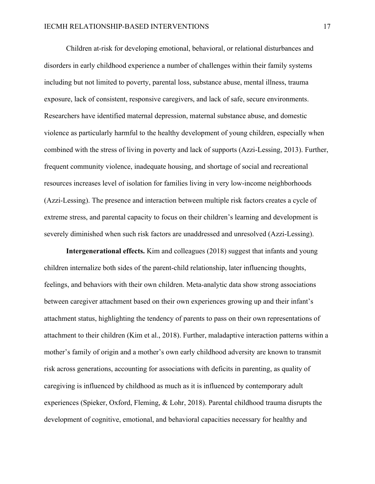Children at-risk for developing emotional, behavioral, or relational disturbances and disorders in early childhood experience a number of challenges within their family systems including but not limited to poverty, parental loss, substance abuse, mental illness, trauma exposure, lack of consistent, responsive caregivers, and lack of safe, secure environments. Researchers have identified maternal depression, maternal substance abuse, and domestic violence as particularly harmful to the healthy development of young children, especially when combined with the stress of living in poverty and lack of supports (Azzi-Lessing, 2013). Further, frequent community violence, inadequate housing, and shortage of social and recreational resources increases level of isolation for families living in very low-income neighborhoods (Azzi-Lessing). The presence and interaction between multiple risk factors creates a cycle of extreme stress, and parental capacity to focus on their children's learning and development is severely diminished when such risk factors are unaddressed and unresolved (Azzi-Lessing).

**Intergenerational effects.** Kim and colleagues (2018) suggest that infants and young children internalize both sides of the parent-child relationship, later influencing thoughts, feelings, and behaviors with their own children. Meta-analytic data show strong associations between caregiver attachment based on their own experiences growing up and their infant's attachment status, highlighting the tendency of parents to pass on their own representations of attachment to their children (Kim et al., 2018). Further, maladaptive interaction patterns within a mother's family of origin and a mother's own early childhood adversity are known to transmit risk across generations, accounting for associations with deficits in parenting, as quality of caregiving is influenced by childhood as much as it is influenced by contemporary adult experiences (Spieker, Oxford, Fleming, & Lohr, 2018). Parental childhood trauma disrupts the development of cognitive, emotional, and behavioral capacities necessary for healthy and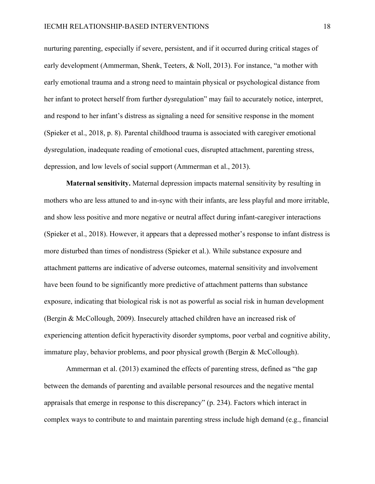nurturing parenting, especially if severe, persistent, and if it occurred during critical stages of early development (Ammerman, Shenk, Teeters, & Noll, 2013). For instance, "a mother with early emotional trauma and a strong need to maintain physical or psychological distance from her infant to protect herself from further dysregulation" may fail to accurately notice, interpret, and respond to her infant's distress as signaling a need for sensitive response in the moment (Spieker et al., 2018, p. 8). Parental childhood trauma is associated with caregiver emotional dysregulation, inadequate reading of emotional cues, disrupted attachment, parenting stress, depression, and low levels of social support (Ammerman et al., 2013).

**Maternal sensitivity.** Maternal depression impacts maternal sensitivity by resulting in mothers who are less attuned to and in-sync with their infants, are less playful and more irritable, and show less positive and more negative or neutral affect during infant-caregiver interactions (Spieker et al., 2018). However, it appears that a depressed mother's response to infant distress is more disturbed than times of nondistress (Spieker et al.). While substance exposure and attachment patterns are indicative of adverse outcomes, maternal sensitivity and involvement have been found to be significantly more predictive of attachment patterns than substance exposure, indicating that biological risk is not as powerful as social risk in human development (Bergin & McCollough, 2009). Insecurely attached children have an increased risk of experiencing attention deficit hyperactivity disorder symptoms, poor verbal and cognitive ability, immature play, behavior problems, and poor physical growth (Bergin & McCollough).

Ammerman et al. (2013) examined the effects of parenting stress, defined as "the gap between the demands of parenting and available personal resources and the negative mental appraisals that emerge in response to this discrepancy" (p. 234). Factors which interact in complex ways to contribute to and maintain parenting stress include high demand (e.g., financial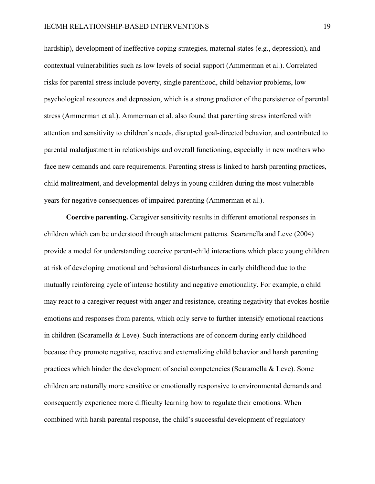hardship), development of ineffective coping strategies, maternal states (e.g., depression), and contextual vulnerabilities such as low levels of social support (Ammerman et al.). Correlated risks for parental stress include poverty, single parenthood, child behavior problems, low psychological resources and depression, which is a strong predictor of the persistence of parental stress (Ammerman et al.). Ammerman et al. also found that parenting stress interfered with attention and sensitivity to children's needs, disrupted goal-directed behavior, and contributed to parental maladjustment in relationships and overall functioning, especially in new mothers who face new demands and care requirements. Parenting stress is linked to harsh parenting practices, child maltreatment, and developmental delays in young children during the most vulnerable years for negative consequences of impaired parenting (Ammerman et al.).

**Coercive parenting.** Caregiver sensitivity results in different emotional responses in children which can be understood through attachment patterns. Scaramella and Leve (2004) provide a model for understanding coercive parent-child interactions which place young children at risk of developing emotional and behavioral disturbances in early childhood due to the mutually reinforcing cycle of intense hostility and negative emotionality. For example, a child may react to a caregiver request with anger and resistance, creating negativity that evokes hostile emotions and responses from parents, which only serve to further intensify emotional reactions in children (Scaramella  $& \text{Level}$ ). Such interactions are of concern during early childhood because they promote negative, reactive and externalizing child behavior and harsh parenting practices which hinder the development of social competencies (Scaramella & Leve). Some children are naturally more sensitive or emotionally responsive to environmental demands and consequently experience more difficulty learning how to regulate their emotions. When combined with harsh parental response, the child's successful development of regulatory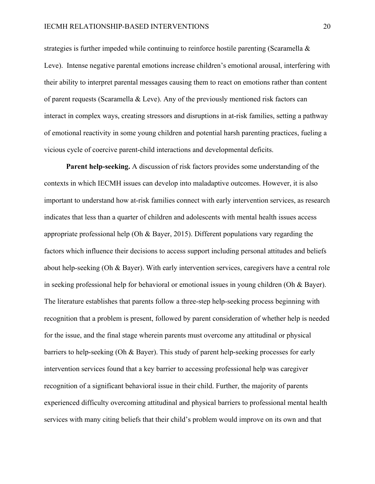strategies is further impeded while continuing to reinforce hostile parenting (Scaramella & Leve). Intense negative parental emotions increase children's emotional arousal, interfering with their ability to interpret parental messages causing them to react on emotions rather than content of parent requests (Scaramella & Leve). Any of the previously mentioned risk factors can interact in complex ways, creating stressors and disruptions in at-risk families, setting a pathway of emotional reactivity in some young children and potential harsh parenting practices, fueling a vicious cycle of coercive parent-child interactions and developmental deficits.

**Parent help-seeking.** A discussion of risk factors provides some understanding of the contexts in which IECMH issues can develop into maladaptive outcomes. However, it is also important to understand how at-risk families connect with early intervention services, as research indicates that less than a quarter of children and adolescents with mental health issues access appropriate professional help (Oh & Bayer, 2015). Different populations vary regarding the factors which influence their decisions to access support including personal attitudes and beliefs about help-seeking (Oh & Bayer). With early intervention services, caregivers have a central role in seeking professional help for behavioral or emotional issues in young children (Oh & Bayer). The literature establishes that parents follow a three-step help-seeking process beginning with recognition that a problem is present, followed by parent consideration of whether help is needed for the issue, and the final stage wherein parents must overcome any attitudinal or physical barriers to help-seeking (Oh & Bayer). This study of parent help-seeking processes for early intervention services found that a key barrier to accessing professional help was caregiver recognition of a significant behavioral issue in their child. Further, the majority of parents experienced difficulty overcoming attitudinal and physical barriers to professional mental health services with many citing beliefs that their child's problem would improve on its own and that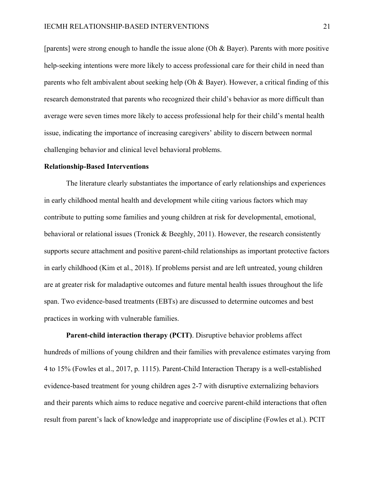[parents] were strong enough to handle the issue alone (Oh & Bayer). Parents with more positive help-seeking intentions were more likely to access professional care for their child in need than parents who felt ambivalent about seeking help (Oh & Bayer). However, a critical finding of this research demonstrated that parents who recognized their child's behavior as more difficult than average were seven times more likely to access professional help for their child's mental health issue, indicating the importance of increasing caregivers' ability to discern between normal challenging behavior and clinical level behavioral problems.

#### **Relationship-Based Interventions**

The literature clearly substantiates the importance of early relationships and experiences in early childhood mental health and development while citing various factors which may contribute to putting some families and young children at risk for developmental, emotional, behavioral or relational issues (Tronick & Beeghly, 2011). However, the research consistently supports secure attachment and positive parent-child relationships as important protective factors in early childhood (Kim et al., 2018). If problems persist and are left untreated, young children are at greater risk for maladaptive outcomes and future mental health issues throughout the life span. Two evidence-based treatments (EBTs) are discussed to determine outcomes and best practices in working with vulnerable families.

**Parent-child interaction therapy (PCIT)**. Disruptive behavior problems affect hundreds of millions of young children and their families with prevalence estimates varying from 4 to 15% (Fowles et al., 2017, p. 1115). Parent-Child Interaction Therapy is a well-established evidence-based treatment for young children ages 2-7 with disruptive externalizing behaviors and their parents which aims to reduce negative and coercive parent-child interactions that often result from parent's lack of knowledge and inappropriate use of discipline (Fowles et al.). PCIT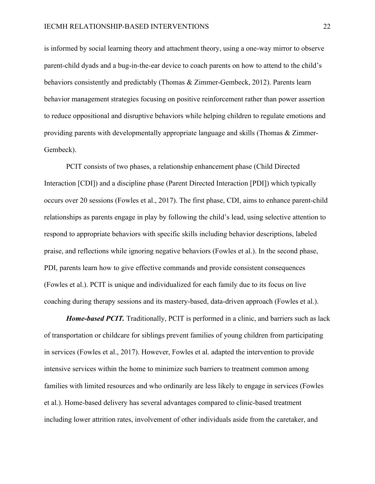is informed by social learning theory and attachment theory, using a one-way mirror to observe parent-child dyads and a bug-in-the-ear device to coach parents on how to attend to the child's behaviors consistently and predictably (Thomas & Zimmer-Gembeck, 2012). Parents learn behavior management strategies focusing on positive reinforcement rather than power assertion to reduce oppositional and disruptive behaviors while helping children to regulate emotions and providing parents with developmentally appropriate language and skills (Thomas & Zimmer-Gembeck).

PCIT consists of two phases, a relationship enhancement phase (Child Directed Interaction [CDI]) and a discipline phase (Parent Directed Interaction [PDI]) which typically occurs over 20 sessions (Fowles et al., 2017). The first phase, CDI, aims to enhance parent-child relationships as parents engage in play by following the child's lead, using selective attention to respond to appropriate behaviors with specific skills including behavior descriptions, labeled praise, and reflections while ignoring negative behaviors (Fowles et al.). In the second phase, PDI, parents learn how to give effective commands and provide consistent consequences (Fowles et al.). PCIT is unique and individualized for each family due to its focus on live coaching during therapy sessions and its mastery-based, data-driven approach (Fowles et al.).

*Home-based PCIT.* Traditionally, PCIT is performed in a clinic, and barriers such as lack of transportation or childcare for siblings prevent families of young children from participating in services (Fowles et al., 2017). However, Fowles et al. adapted the intervention to provide intensive services within the home to minimize such barriers to treatment common among families with limited resources and who ordinarily are less likely to engage in services (Fowles et al.). Home-based delivery has several advantages compared to clinic-based treatment including lower attrition rates, involvement of other individuals aside from the caretaker, and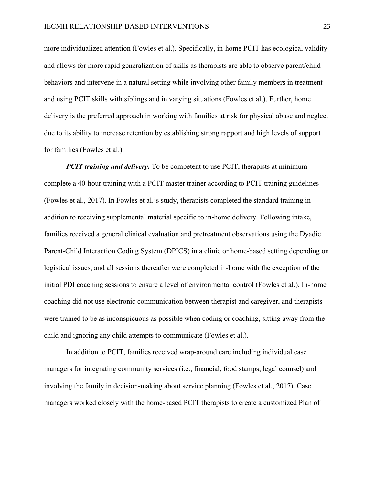more individualized attention (Fowles et al.). Specifically, in-home PCIT has ecological validity and allows for more rapid generalization of skills as therapists are able to observe parent/child behaviors and intervene in a natural setting while involving other family members in treatment and using PCIT skills with siblings and in varying situations (Fowles et al.). Further, home delivery is the preferred approach in working with families at risk for physical abuse and neglect due to its ability to increase retention by establishing strong rapport and high levels of support for families (Fowles et al.).

*PCIT training and delivery.* To be competent to use PCIT, therapists at minimum complete a 40-hour training with a PCIT master trainer according to PCIT training guidelines (Fowles et al., 2017). In Fowles et al.'s study, therapists completed the standard training in addition to receiving supplemental material specific to in-home delivery. Following intake, families received a general clinical evaluation and pretreatment observations using the Dyadic Parent-Child Interaction Coding System (DPICS) in a clinic or home-based setting depending on logistical issues, and all sessions thereafter were completed in-home with the exception of the initial PDI coaching sessions to ensure a level of environmental control (Fowles et al.). In-home coaching did not use electronic communication between therapist and caregiver, and therapists were trained to be as inconspicuous as possible when coding or coaching, sitting away from the child and ignoring any child attempts to communicate (Fowles et al.).

In addition to PCIT, families received wrap-around care including individual case managers for integrating community services (i.e., financial, food stamps, legal counsel) and involving the family in decision-making about service planning (Fowles et al., 2017). Case managers worked closely with the home-based PCIT therapists to create a customized Plan of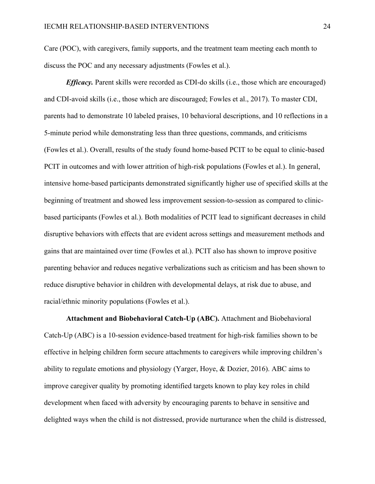Care (POC), with caregivers, family supports, and the treatment team meeting each month to discuss the POC and any necessary adjustments (Fowles et al.).

*Efficacy.* Parent skills were recorded as CDI-do skills (i.e., those which are encouraged) and CDI-avoid skills (i.e., those which are discouraged; Fowles et al., 2017). To master CDI, parents had to demonstrate 10 labeled praises, 10 behavioral descriptions, and 10 reflections in a 5-minute period while demonstrating less than three questions, commands, and criticisms (Fowles et al.). Overall, results of the study found home-based PCIT to be equal to clinic-based PCIT in outcomes and with lower attrition of high-risk populations (Fowles et al.). In general, intensive home-based participants demonstrated significantly higher use of specified skills at the beginning of treatment and showed less improvement session-to-session as compared to clinicbased participants (Fowles et al.). Both modalities of PCIT lead to significant decreases in child disruptive behaviors with effects that are evident across settings and measurement methods and gains that are maintained over time (Fowles et al.). PCIT also has shown to improve positive parenting behavior and reduces negative verbalizations such as criticism and has been shown to reduce disruptive behavior in children with developmental delays, at risk due to abuse, and racial/ethnic minority populations (Fowles et al.).

**Attachment and Biobehavioral Catch-Up (ABC).** Attachment and Biobehavioral Catch-Up (ABC) is a 10-session evidence-based treatment for high-risk families shown to be effective in helping children form secure attachments to caregivers while improving children's ability to regulate emotions and physiology (Yarger, Hoye, & Dozier, 2016). ABC aims to improve caregiver quality by promoting identified targets known to play key roles in child development when faced with adversity by encouraging parents to behave in sensitive and delighted ways when the child is not distressed, provide nurturance when the child is distressed,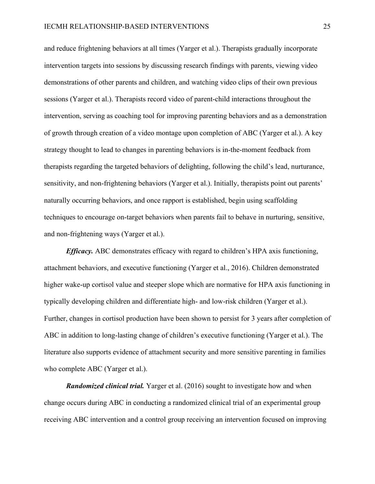and reduce frightening behaviors at all times (Yarger et al.). Therapists gradually incorporate intervention targets into sessions by discussing research findings with parents, viewing video demonstrations of other parents and children, and watching video clips of their own previous sessions (Yarger et al.). Therapists record video of parent-child interactions throughout the intervention, serving as coaching tool for improving parenting behaviors and as a demonstration of growth through creation of a video montage upon completion of ABC (Yarger et al.). A key strategy thought to lead to changes in parenting behaviors is in-the-moment feedback from therapists regarding the targeted behaviors of delighting, following the child's lead, nurturance, sensitivity, and non-frightening behaviors (Yarger et al.). Initially, therapists point out parents' naturally occurring behaviors, and once rapport is established, begin using scaffolding techniques to encourage on-target behaviors when parents fail to behave in nurturing, sensitive, and non-frightening ways (Yarger et al.).

*Efficacy.* ABC demonstrates efficacy with regard to children's HPA axis functioning, attachment behaviors, and executive functioning (Yarger et al., 2016). Children demonstrated higher wake-up cortisol value and steeper slope which are normative for HPA axis functioning in typically developing children and differentiate high- and low-risk children (Yarger et al.). Further, changes in cortisol production have been shown to persist for 3 years after completion of ABC in addition to long-lasting change of children's executive functioning (Yarger et al.). The literature also supports evidence of attachment security and more sensitive parenting in families who complete ABC (Yarger et al.).

*Randomized clinical trial.* Yarger et al. (2016) sought to investigate how and when change occurs during ABC in conducting a randomized clinical trial of an experimental group receiving ABC intervention and a control group receiving an intervention focused on improving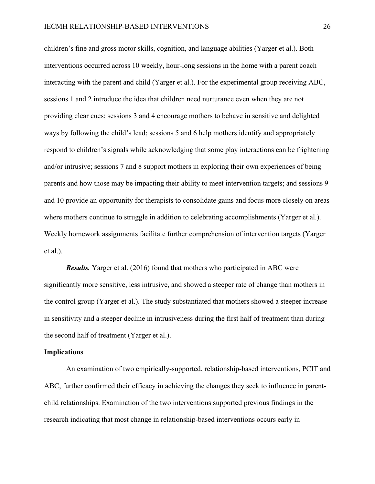children's fine and gross motor skills, cognition, and language abilities (Yarger et al.). Both interventions occurred across 10 weekly, hour-long sessions in the home with a parent coach interacting with the parent and child (Yarger et al.). For the experimental group receiving ABC, sessions 1 and 2 introduce the idea that children need nurturance even when they are not providing clear cues; sessions 3 and 4 encourage mothers to behave in sensitive and delighted ways by following the child's lead; sessions 5 and 6 help mothers identify and appropriately respond to children's signals while acknowledging that some play interactions can be frightening and/or intrusive; sessions 7 and 8 support mothers in exploring their own experiences of being parents and how those may be impacting their ability to meet intervention targets; and sessions 9 and 10 provide an opportunity for therapists to consolidate gains and focus more closely on areas where mothers continue to struggle in addition to celebrating accomplishments (Yarger et al.). Weekly homework assignments facilitate further comprehension of intervention targets (Yarger et al.).

*Results.* Yarger et al. (2016) found that mothers who participated in ABC were significantly more sensitive, less intrusive, and showed a steeper rate of change than mothers in the control group (Yarger et al.). The study substantiated that mothers showed a steeper increase in sensitivity and a steeper decline in intrusiveness during the first half of treatment than during the second half of treatment (Yarger et al.).

#### **Implications**

An examination of two empirically-supported, relationship-based interventions, PCIT and ABC, further confirmed their efficacy in achieving the changes they seek to influence in parentchild relationships. Examination of the two interventions supported previous findings in the research indicating that most change in relationship-based interventions occurs early in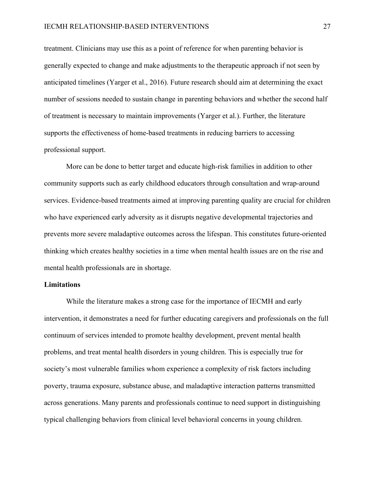treatment. Clinicians may use this as a point of reference for when parenting behavior is generally expected to change and make adjustments to the therapeutic approach if not seen by anticipated timelines (Yarger et al., 2016). Future research should aim at determining the exact number of sessions needed to sustain change in parenting behaviors and whether the second half of treatment is necessary to maintain improvements (Yarger et al.). Further, the literature supports the effectiveness of home-based treatments in reducing barriers to accessing professional support.

More can be done to better target and educate high-risk families in addition to other community supports such as early childhood educators through consultation and wrap-around services. Evidence-based treatments aimed at improving parenting quality are crucial for children who have experienced early adversity as it disrupts negative developmental trajectories and prevents more severe maladaptive outcomes across the lifespan. This constitutes future-oriented thinking which creates healthy societies in a time when mental health issues are on the rise and mental health professionals are in shortage.

#### **Limitations**

While the literature makes a strong case for the importance of IECMH and early intervention, it demonstrates a need for further educating caregivers and professionals on the full continuum of services intended to promote healthy development, prevent mental health problems, and treat mental health disorders in young children. This is especially true for society's most vulnerable families whom experience a complexity of risk factors including poverty, trauma exposure, substance abuse, and maladaptive interaction patterns transmitted across generations. Many parents and professionals continue to need support in distinguishing typical challenging behaviors from clinical level behavioral concerns in young children.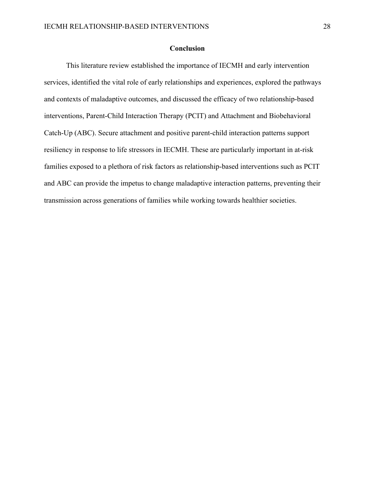### **Conclusion**

This literature review established the importance of IECMH and early intervention services, identified the vital role of early relationships and experiences, explored the pathways and contexts of maladaptive outcomes, and discussed the efficacy of two relationship-based interventions, Parent-Child Interaction Therapy (PCIT) and Attachment and Biobehavioral Catch-Up (ABC). Secure attachment and positive parent-child interaction patterns support resiliency in response to life stressors in IECMH. These are particularly important in at-risk families exposed to a plethora of risk factors as relationship-based interventions such as PCIT and ABC can provide the impetus to change maladaptive interaction patterns, preventing their transmission across generations of families while working towards healthier societies.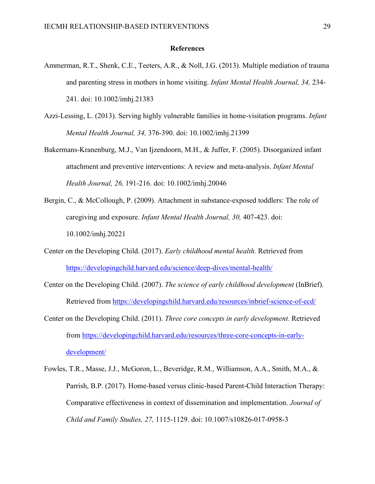#### **References**

- Ammerman, R.T., Shenk, C.E., Teeters, A.R., & Noll, J.G. (2013). Multiple mediation of trauma and parenting stress in mothers in home visiting. *Infant Mental Health Journal, 34,* 234- 241. doi: 10.1002/imhj.21383
- Azzi-Lessing, L. (2013). Serving highly vulnerable families in home-visitation programs. *Infant Mental Health Journal, 34,* 376-390. doi: 10.1002/imhj.21399
- Bakermans-Kranenburg, M.J., Van Ijzendoorn, M.H., & Juffer, F. (2005). Disorganized infant attachment and preventive interventions: A review and meta-analysis. *Infant Mental Health Journal, 26,* 191-216. doi: 10.1002/imhj.20046
- Bergin, C., & McCollough, P. (2009). Attachment in substance-exposed toddlers: The role of caregiving and exposure. *Infant Mental Health Journal, 30,* 407-423. doi: 10.1002/imhj.20221
- Center on the Developing Child. (2017). *Early childhood mental health.* Retrieved from https://developingchild.harvard.edu/science/deep-dives/mental-health/
- Center on the Developing Child. (2007). *The science of early childhood development* (InBrief). Retrieved from https://developingchild.harvard.edu/resources/inbrief-science-of-ecd/
- Center on the Developing Child. (2011). *Three core concepts in early development.* Retrieved from https://developingchild.harvard.edu/resources/three-core-concepts-in-earlydevelopment/
- Fowles, T.R., Masse, J.J., McGoron, L., Beveridge, R.M., Williamson, A.A., Smith, M.A., & Parrish, B.P. (2017). Home-based versus clinic-based Parent-Child Interaction Therapy: Comparative effectiveness in context of dissemination and implementation. *Journal of Child and Family Studies, 27,* 1115-1129. doi: 10.1007/s10826-017-0958-3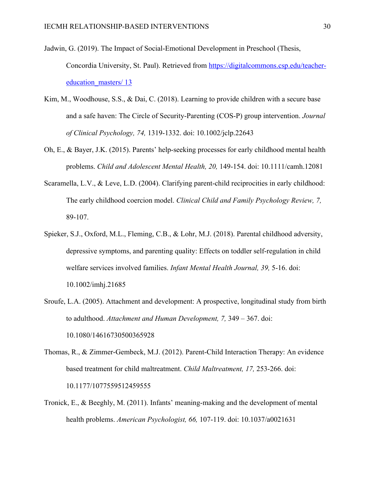- Jadwin, G. (2019). The Impact of Social-Emotional Development in Preschool (Thesis, Concordia University, St. Paul). Retrieved from https://digitalcommons.csp.edu/teachereducation\_masters/ 13
- Kim, M., Woodhouse, S.S., & Dai, C. (2018). Learning to provide children with a secure base and a safe haven: The Circle of Security-Parenting (COS-P) group intervention. *Journal of Clinical Psychology, 74,* 1319-1332. doi: 10.1002/jclp.22643
- Oh, E., & Bayer, J.K. (2015). Parents' help-seeking processes for early childhood mental health problems. *Child and Adolescent Mental Health, 20,* 149-154. doi: 10.1111/camh.12081
- Scaramella, L.V., & Leve, L.D. (2004). Clarifying parent-child reciprocities in early childhood: The early childhood coercion model. *Clinical Child and Family Psychology Review, 7,* 89-107.
- Spieker, S.J., Oxford, M.L., Fleming, C.B., & Lohr, M.J. (2018). Parental childhood adversity, depressive symptoms, and parenting quality: Effects on toddler self-regulation in child welfare services involved families. *Infant Mental Health Journal, 39,* 5-16. doi: 10.1002/imhj.21685
- Sroufe, L.A. (2005). Attachment and development: A prospective, longitudinal study from birth to adulthood. *Attachment and Human Development, 7,* 349 – 367. doi: 10.1080/14616730500365928
- Thomas, R., & Zimmer-Gembeck, M.J. (2012). Parent-Child Interaction Therapy: An evidence based treatment for child maltreatment. *Child Maltreatment, 17,* 253-266. doi: 10.1177/1077559512459555
- Tronick, E., & Beeghly, M. (2011). Infants' meaning-making and the development of mental health problems. *American Psychologist, 66,* 107-119. doi: 10.1037/a0021631